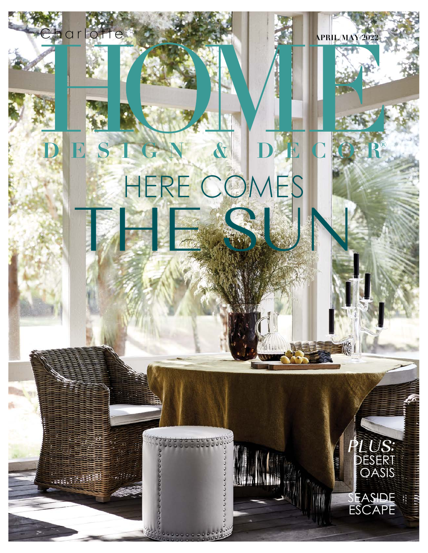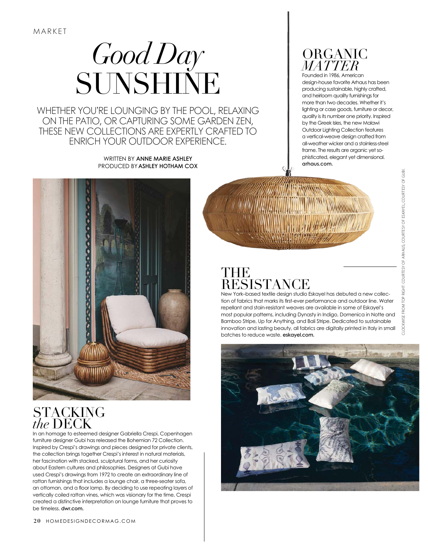# *Good Day* SUNSHINE

WHETHER YOU'RE LOUNGING BY THE POOL, RELAXING ON THE PATIO, OR CAPTURING SOME GARDEN ZEN, THESE NEW COLLECTIONS ARE EXPERTLY CRAFTED TO ENRICH YOUR OUTDOOR EXPERIENCE.

> WRITTEN BY ANNE MARIE ASHLEY PRODUCED BY ASHLEY HOTHAM COX



Founded in 1986, American design-house favorite Arhaus has been producing sustainable, highly crafted, and heirloom quality furnishings for more than two decades. Whether it's lighting or case goods, furniture or decor, quality is its number one priority. Inspired by the Greek Isles, the new Malawi Outdoor Lighting Collection features a vertical-weave design crafted from all-weather wicker and a stainless-steel frame. The results are organic yet sophisticated, elegant yet dimensional. arhaus.com.



#### **STACKING** *the* DECK

In an homage to esteemed designer Gabriella Crespi, Copenhagen furniture designer Gubi has released the Bohemian 72 Collection. Inspired by Crespi's drawings and pieces designed for private clients, the collection brings together Crespi's interest in natural materials, her fascination with stacked, sculptural forms, and her curiosity about Eastern cultures and philosophies. Designers at Gubi have used Crespi's drawings from 1972 to create an extraordinary line of rattan furnishings that includes a lounge chair, a three-seater sofa, an ottoman, and a floor lamp. By deciding to use repeating layers of vertically coiled rattan vines, which was visionary for the time, Crespi created a distinctive interpretation on lounge furniture that proves to be timeless. dwr.com.

### THE RESISTANCE

New York–based textile design studio Eskayel has debuted a new collection of fabrics that marks its first-ever performance and outdoor line. Water repellant and stain-resistant weaves are available in some of Eskayel's most popular patterns, including Dynasty in Indigo, Domenica in Notte and Bamboo Stripe, Up for Anything, and Bali Stripe. Dedicated to sustainable innovation and lasting beauty, all fabrics are digitally printed in Italy in small batches to reduce waste. eskayel.com.

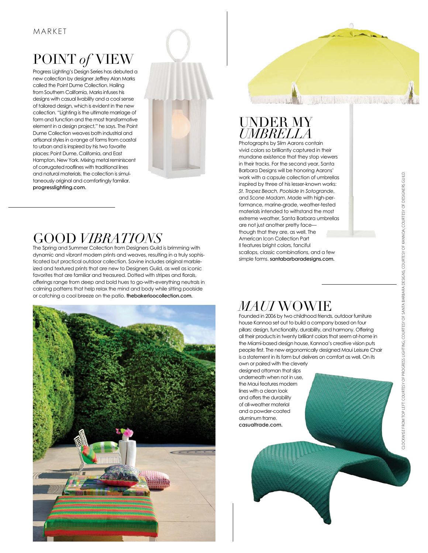# POINT *of* VIEW

Progress Lighting's Design Series has debuted a new collection by designer Jeffrey Alan Marks called the Point Dume Collection. Hailing from Southern California, Marks infuses his designs with casual livability and a cool sense of tailored design, which is evident in the new collection. "Lighting is the ultimate marriage of form and function and the most transformative element in a design project," he says. The Point Dume Collection weaves both industrial and artisanal styles in a range of forms from coastal to urban and is inspired by his two favorite places: Point Dume, California, and East Hampton, New York. Mixing metal reminiscent of corrugated rooflines with traditional lines and natural materials, the collection is simultaneously original and comfortingly familiar. progresslighting.com.



## GOOD *VIBRATIONS*

The Spring and Summer Collection from Designers Guild is brimming with dynamic and vibrant modern prints and weaves, resulting in a truly sophisticated but practical outdoor collection. Savine includes original marbleized and textured prints that are new to Designers Guild, as well as iconic favorites that are familiar and treasured. Dotted with stripes and florals, offerings range from deep and bold hues to go-with-everything neutrals in calming patterns that help relax the mind and body while sitting poolside or catching a cool breeze on the patio. thebakerloocollection.com.



#### UNDER MY *UMBRELLA*

Photographs by Slim Aarons contain vivid colors so brilliantly captured in their mundane existence that they stop viewers in their tracks. For the second year, Santa Barbara Designs will be honoring Aarons' work with a capsule collection of umbrellas inspired by three of his lesser-known works: *St. Tropez Beach, Poolside In Sotogrande,*  and *Scone Madam*. Made with high-performance, marine-grade, weather-tested materials intended to withstand the most extreme weather, Santa Barbara umbrellas are not just another pretty face though that they are, as well. The American Icon Collection Part II features bright colors, fanciful scallops, classic combinations, and a few simple forms. santabarbaradesigns.com.

La sinha la filla di La Casillo A

## *MAUI* WOWIE

Founded in 2006 by two childhood friends, outdoor furniture house Kannoa set out to build a company based on four pillars: design, functionality, durability, and harmony. Offering all their products in twenty brilliant colors that seem at-home in the Miami-based design house, Kannoa's creative vision puts people first. The new ergonomically designed Maui Leisure Chair is a statement in its form but delivers on comfort as well. On its own or paired with the cleverly

designed ottoman that slips underneath when not in use, the Maui features modern lines with a clean look and offers the durability of all-weather material and a powder-coated aluminum frame. casualtrade.com.